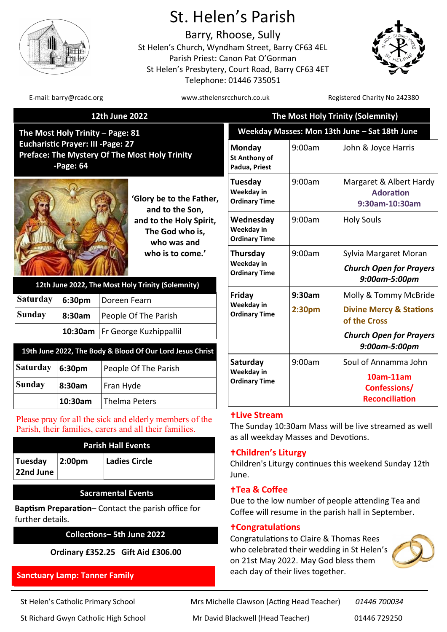

# St. Helen's Parish

Barry, Rhoose, Sully St Helen's Church, Wyndham Street, Barry CF63 4EL Parish Priest: Canon Pat O'Gorman St Helen's Presbytery, Court Road, Barry CF63 4ET Telephone: 01446 735051



E-mail: barry@rcadc.org entitled to the www.sthelensrcchurch.co.uk Registered Charity No 242380

#### **12th June 2022**

**The Most Holy Trinity – Page: 81 Eucharistic Prayer: III -Page: 27 Preface: The Mystery Of The Most Holy Trinity -Page: 64**



**'Glory be to the Father, and to the Son, and to the Holy Spirit, The God who is, who was and who is to come.'** 

| 12th June 2022, The Most Holy Trinity (Solemnity) |                        |                                  |  |  |
|---------------------------------------------------|------------------------|----------------------------------|--|--|
| <b>Saturday</b>                                   | 6:30pm<br>Doreen Fearn |                                  |  |  |
| <b>Sunday</b>                                     | 8:30am                 | People Of The Parish             |  |  |
|                                                   |                        | 10:30am   Fr George Kuzhippallil |  |  |

## **Saturday 6:30pm** People Of The Parish **Sunday 8:30am** Fran Hyde **19th June 2022, The Body & Blood Of Our Lord Jesus Christ**

Please pray for all the sick and elderly members of the Parish, their families, carers and all their families.

**10:30am** Thelma Peters

| <b>Parish Hall Events</b> |            |               |  |  |  |
|---------------------------|------------|---------------|--|--|--|
| Tuesday<br>22nd June      | $ 2:00$ pm | Ladies Circle |  |  |  |

#### **Sacramental Events**

**Baptism Preparation**– Contact the parish office for further details.

#### **Collections– 5th June 2022**

**Ordinary £352.25 Gift Aid £306.00**

#### **Sanctuary Lamp: Tanner Family**

| St Helen's Catholic Primary School |
|------------------------------------|
|------------------------------------|

| The Most Holy Trinity (Solemnity)               |                              |                                                                                                                                |  |  |
|-------------------------------------------------|------------------------------|--------------------------------------------------------------------------------------------------------------------------------|--|--|
| Weekday Masses: Mon 13th June - Sat 18th June   |                              |                                                                                                                                |  |  |
| Monday<br><b>St Anthony of</b><br>Padua, Priest | 9:00am                       | John & Joyce Harris                                                                                                            |  |  |
| Tuesday<br>Weekday in<br><b>Ordinary Time</b>   | 9:00am                       | Margaret & Albert Hardy<br><b>Adoration</b><br>9:30am-10:30am                                                                  |  |  |
| Wednesday<br>Weekday in<br><b>Ordinary Time</b> | 9:00am                       | <b>Holy Souls</b>                                                                                                              |  |  |
| Thursday<br>Weekday in<br><b>Ordinary Time</b>  | 9:00am                       | Sylvia Margaret Moran<br><b>Church Open for Prayers</b><br>9:00am-5:00pm                                                       |  |  |
| Friday<br>Weekday in<br><b>Ordinary Time</b>    | 9:30am<br>2:30 <sub>pm</sub> | Molly & Tommy McBride<br><b>Divine Mercy &amp; Stations</b><br>of the Cross<br><b>Church Open for Prayers</b><br>9:00am-5:00pm |  |  |
| Saturday<br>Weekday in<br><b>Ordinary Time</b>  | 9:00am                       | Soul of Annamma John<br>10am-11am<br>Confessions/<br><b>Reconciliation</b>                                                     |  |  |

#### **Live Stream**

The Sunday 10:30am Mass will be live streamed as well as all weekday Masses and Devotions.

#### **Children's Liturgy**

Children's Liturgy continues this weekend Sunday 12th June.

#### **Tea & Coffee**

Due to the low number of people attending Tea and Coffee will resume in the parish hall in September.

#### **Congratulations**

Congratulations to Claire & Thomas Rees who celebrated their wedding in St Helen's on 21st May 2022. May God bless them each day of their lives together.



Mrs Michelle Clawson (Acting Head Teacher) 01446 700034 St Richard Gwyn Catholic High School Mr David Blackwell (Head Teacher) 01446 729250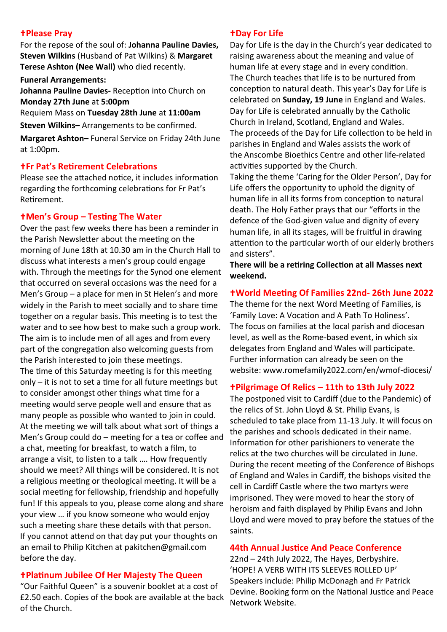#### **Please Pray**

For the repose of the soul of: **Johanna Pauline Davies, Steven Wilkins** (Husband of Pat Wilkins) & **Margaret Terese Ashton (Nee Wall)** who died recently.

**Funeral Arrangements:**

**Johanna Pauline Davies-** Reception into Church on **Monday 27th June** at **5:00pm** 

Requiem Mass on **Tuesday 28th June** at **11:00am**

**Steven Wilkins–** Arrangements to be confirmed.

**Margaret Ashton–** Funeral Service on Friday 24th June at 1:00pm.

## **Fr Pat's Retirement Celebrations**

Please see the attached notice, it includes information regarding the forthcoming celebrations for Fr Pat's Retirement.

## **Men's Group – Testing The Water**

Over the past few weeks there has been a reminder in the Parish Newsletter about the meeting on the morning of June 18th at 10.30 am in the Church Hall to discuss what interests a men's group could engage with. Through the meetings for the Synod one element that occurred on several occasions was the need for a Men's Group – a place for men in St Helen's and more widely in the Parish to meet socially and to share time together on a regular basis. This meeting is to test the water and to see how best to make such a group work. The aim is to include men of all ages and from every part of the congregation also welcoming guests from the Parish interested to join these meetings. The time of this Saturday meeting is for this meeting only – it is not to set a time for all future meetings but to consider amongst other things what time for a meeting would serve people well and ensure that as many people as possible who wanted to join in could. At the meeting we will talk about what sort of things a Men's Group could do – meeting for a tea or coffee and a chat, meeting for breakfast, to watch a film, to arrange a visit, to listen to a talk …. How frequently should we meet? All things will be considered. It is not a religious meeting or theological meeting. It will be a social meeting for fellowship, friendship and hopefully fun! If this appeals to you, please come along and share your view … if you know someone who would enjoy such a meeting share these details with that person. If you cannot attend on that day put your thoughts on an email to Philip Kitchen at [pakitchen@gmail.com](mailto:pakitchen@gmail.com) before the day.

## **Platinum Jubilee Of Her Majesty The Queen**

"Our Faithful Queen" is a souvenir booklet at a cost of £2.50 each. Copies of the book are available at the back of the Church.

#### **tDay For Life**

Day for Life is the day in the Church's year dedicated to raising awareness about the meaning and value of human life at every stage and in every condition. The Church teaches that life is to be nurtured from conception to natural death. This year's Day for Life is celebrated on **Sunday, 19 June** in England and Wales. Day for Life is celebrated annually by the Catholic Church in Ireland, Scotland, England and Wales. The proceeds of the Day for Life collection to be held in parishes in England and Wales assists the work of the [Anscombe Bioethics Centre](http://www.dayforlife.org/anscombe-bioethics-centre/) and other life-related activities supported by the Church.

Taking the theme 'Caring for the Older Person', Day for Life offers the opportunity to uphold the dignity of human life in all its forms from conception to natural death. The Holy Father prays that our "efforts in the defence of the God-given value and dignity of every human life, in all its stages, will be fruitful in drawing attention to the particular worth of our elderly brothers and sisters".

**There will be a retiring Collection at all Masses next weekend.** 

### **World Meeting Of Families 22nd- 26th June 2022**

The theme for the next Word Meeting of Families, is 'Family Love: A Vocation and A Path To Holiness'. The focus on families at the local parish and diocesan level, as well as the Rome-based event, in which six delegates from England and Wales will participate. Further information can already be seen on the website: www.romefamily2022.com/en/wmof-diocesi/

#### **Pilgrimage Of Relics – 11th to 13th July 2022**

The postponed visit to Cardiff (due to the Pandemic) of the relics of St. John Lloyd & St. Philip Evans, is scheduled to take place from 11-13 July. It will focus on the parishes and schools dedicated in their name. Information for other parishioners to venerate the relics at the two churches will be circulated in June. During the recent meeting of the Conference of Bishops of England and Wales in Cardiff, the bishops visited the cell in Cardiff Castle where the two martyrs were imprisoned. They were moved to hear the story of heroism and faith displayed by Philip Evans and John Lloyd and were moved to pray before the statues of the saints.

#### **44th Annual Justice And Peace Conference**

**Network Website.** 22nd – 24th July 2022, The Hayes, Derbyshire. 'HOPE! A VERB WITH ITS SLEEVES ROLLED UP' Speakers include: Philip McDonagh and Fr Patrick Devine. Booking form on the National Justice and Peace